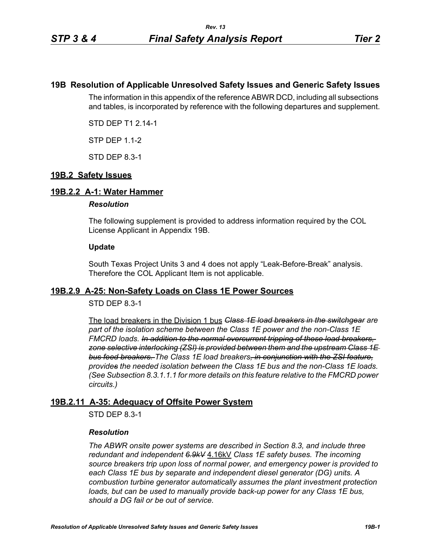# **19B Resolution of Applicable Unresolved Safety Issues and Generic Safety Issues**

The information in this appendix of the reference ABWR DCD, including all subsections and tables, is incorporated by reference with the following departures and supplement.

STD DEP T1 2.14-1

STP DEP 1.1-2

STD DEP 8.3-1

# **19B.2 Safety Issues**

### **19B.2.2 A-1: Water Hammer**

#### *Resolution*

The following supplement is provided to address information required by the COL License Applicant in Appendix 19B.

### **Update**

South Texas Project Units 3 and 4 does not apply "Leak-Before-Break" analysis. Therefore the COL Applicant Item is not applicable.

### **19B.2.9 A-25: Non-Safety Loads on Class 1E Power Sources**

### STD DEP 8.3-1

The load breakers in the Division 1 bus *Class 1E load breakers in the switchgear are part of the isolation scheme between the Class 1E power and the non-Class 1E FMCRD loads. In addition to the normal overcurrent tripping of these load breakers, zone selective interlocking (ZSI) is provided between them and the upstream Class 1E bus feed breakers. The Class 1E load breakers, in conjunction with the ZSI feature, provides the needed isolation between the Class 1E bus and the non-Class 1E loads. (See Subsection 8.3.1.1.1 for more details on this feature relative to the FMCRD power circuits.)*

# **19B.2.11 A-35: Adequacy of Offsite Power System**

STD DEP 8.3-1

### *Resolution*

*The ABWR onsite power systems are described in Section 8.3, and include three redundant and independent 6.9kV* 4.16kV *Class 1E safety buses. The incoming source breakers trip upon loss of normal power, and emergency power is provided to each Class 1E bus by separate and independent diesel generator (DG) units. A combustion turbine generator automatically assumes the plant investment protection*  loads, but can be used to manually provide back-up power for any Class 1E bus, *should a DG fail or be out of service.*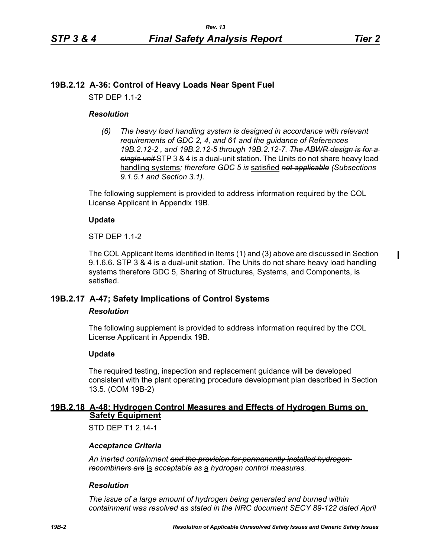$\mathbf I$ 

# **19B.2.12 A-36: Control of Heavy Loads Near Spent Fuel**

STP DEP 1.1-2

# *Resolution*

*(6) The heavy load handling system is designed in accordance with relevant requirements of GDC 2, 4, and 61 and the guidance of References 19B.2.12-2 , and 19B.2.12-5 through 19B.2.12-7. The ABWR design is for a single unit* STP 3 & 4 is a dual-unit station. The Units do not share heavy load handling systems*; therefore GDC 5 is* satisfied *not applicable (Subsections 9.1.5.1 and Section 3.1).*

The following supplement is provided to address information required by the COL License Applicant in Appendix 19B.

# **Update**

STP DEP 1.1-2

The COL Applicant Items identified in Items (1) and (3) above are discussed in Section 9.1.6.6. STP 3 & 4 is a dual-unit station. The Units do not share heavy load handling systems therefore GDC 5, Sharing of Structures, Systems, and Components, is satisfied.

# **19B.2.17 A-47; Safety Implications of Control Systems**

### *Resolution*

The following supplement is provided to address information required by the COL License Applicant in Appendix 19B.

# **Update**

The required testing, inspection and replacement guidance will be developed consistent with the plant operating procedure development plan described in Section 13.5. (COM 19B-2)

# **19B.2.18 A-48: Hydrogen Control Measures and Effects of Hydrogen Burns on Safety Equipment**

STD DFP T1 2 14-1

# *Acceptance Criteria*

*An inerted containment and the provision for permanently installed hydrogen recombiners are* is *acceptable as* a *hydrogen control measures.*

### *Resolution*

*The issue of a large amount of hydrogen being generated and burned within containment was resolved as stated in the NRC document SECY 89-122 dated April*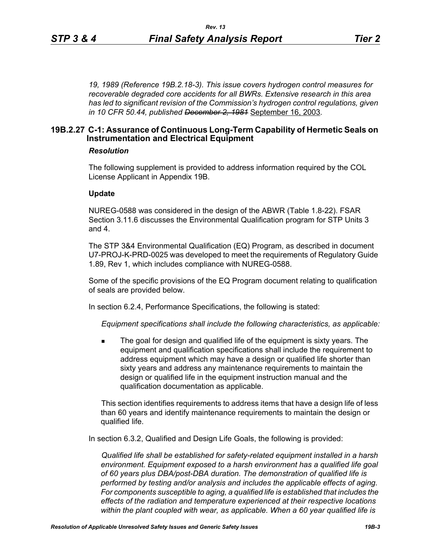*19, 1989 (Reference 19B.2.18-3). This issue covers hydrogen control measures for recoverable degraded core accidents for all BWRs. Extensive research in this area has led to significant revision of the Commission's hydrogen control regulations, given in 10 CFR 50.44, published December 2, 1981* September 16, 2003*.*

### **19B.2.27 C-1: Assurance of Continuous Long-Term Capability of Hermetic Seals on Instrumentation and Electrical Equipment**

#### *Resolution*

The following supplement is provided to address information required by the COL License Applicant in Appendix 19B.

#### **Update**

NUREG-0588 was considered in the design of the ABWR (Table 1.8-22). FSAR Section 3.11.6 discusses the Environmental Qualification program for STP Units 3 and 4.

The STP 3&4 Environmental Qualification (EQ) Program, as described in document U7-PROJ-K-PRD-0025 was developed to meet the requirements of Regulatory Guide 1.89, Rev 1, which includes compliance with NUREG-0588.

Some of the specific provisions of the EQ Program document relating to qualification of seals are provided below.

In section 6.2.4, Performance Specifications, the following is stated:

*Equipment specifications shall include the following characteristics, as applicable:*

 The goal for design and qualified life of the equipment is sixty years. The equipment and qualification specifications shall include the requirement to address equipment which may have a design or qualified life shorter than sixty years and address any maintenance requirements to maintain the design or qualified life in the equipment instruction manual and the qualification documentation as applicable.

This section identifies requirements to address items that have a design life of less than 60 years and identify maintenance requirements to maintain the design or qualified life.

In section 6.3.2, Qualified and Design Life Goals, the following is provided:

*Qualified life shall be established for safety-related equipment installed in a harsh environment. Equipment exposed to a harsh environment has a qualified life goal of 60 years plus DBA/post-DBA duration. The demonstration of qualified life is performed by testing and/or analysis and includes the applicable effects of aging. For components susceptible to aging, a qualified life is established that includes the effects of the radiation and temperature experienced at their respective locations within the plant coupled with wear, as applicable. When a 60 year qualified life is*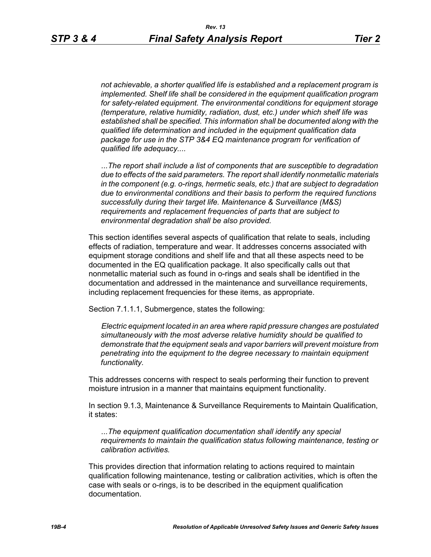*not achievable, a shorter qualified life is established and a replacement program is implemented. Shelf life shall be considered in the equipment qualification program for safety-related equipment. The environmental conditions for equipment storage (temperature, relative humidity, radiation, dust, etc.) under which shelf life was established shall be specified. This information shall be documented along with the qualified life determination and included in the equipment qualification data package for use in the STP 3&4 EQ maintenance program for verification of qualified life adequacy....*

*...The report shall include a list of components that are susceptible to degradation due to effects of the said parameters. The report shall identify nonmetallic materials in the component (e.g. o-rings, hermetic seals, etc.) that are subject to degradation due to environmental conditions and their basis to perform the required functions successfully during their target life. Maintenance & Surveillance (M&S) requirements and replacement frequencies of parts that are subject to environmental degradation shall be also provided.*

This section identifies several aspects of qualification that relate to seals, including effects of radiation, temperature and wear. It addresses concerns associated with equipment storage conditions and shelf life and that all these aspects need to be documented in the EQ qualification package. It also specifically calls out that nonmetallic material such as found in o-rings and seals shall be identified in the documentation and addressed in the maintenance and surveillance requirements, including replacement frequencies for these items, as appropriate.

Section 7.1.1.1, Submergence, states the following:

*Electric equipment located in an area where rapid pressure changes are postulated simultaneously with the most adverse relative humidity should be qualified to demonstrate that the equipment seals and vapor barriers will prevent moisture from penetrating into the equipment to the degree necessary to maintain equipment functionality.*

This addresses concerns with respect to seals performing their function to prevent moisture intrusion in a manner that maintains equipment functionality.

In section 9.1.3, Maintenance & Surveillance Requirements to Maintain Qualification, it states:

*...The equipment qualification documentation shall identify any special requirements to maintain the qualification status following maintenance, testing or calibration activities.*

This provides direction that information relating to actions required to maintain qualification following maintenance, testing or calibration activities, which is often the case with seals or o-rings, is to be described in the equipment qualification documentation.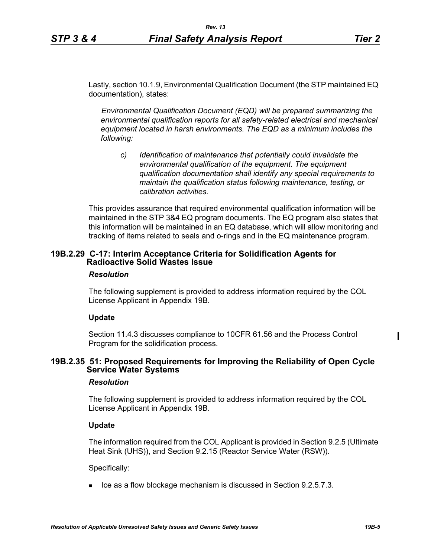Lastly, section 10.1.9, Environmental Qualification Document (the STP maintained EQ documentation), states:

*Environmental Qualification Document (EQD) will be prepared summarizing the environmental qualification reports for all safety-related electrical and mechanical equipment located in harsh environments. The EQD as a minimum includes the following:*

*c) Identification of maintenance that potentially could invalidate the environmental qualification of the equipment. The equipment qualification documentation shall identify any special requirements to maintain the qualification status following maintenance, testing, or calibration activities.*

This provides assurance that required environmental qualification information will be maintained in the STP 3&4 EQ program documents. The EQ program also states that this information will be maintained in an EQ database, which will allow monitoring and tracking of items related to seals and o-rings and in the EQ maintenance program.

# **19B.2.29 C-17: Interim Acceptance Criteria for Solidification Agents for Radioactive Solid Wastes Issue**

### *Resolution*

The following supplement is provided to address information required by the COL License Applicant in Appendix 19B.

### **Update**

Section 11.4.3 discusses compliance to 10CFR 61.56 and the Process Control Program for the solidification process.

### **19B.2.35 51: Proposed Requirements for Improving the Reliability of Open Cycle Service Water Systems**

### *Resolution*

The following supplement is provided to address information required by the COL License Applicant in Appendix 19B.

### **Update**

The information required from the COL Applicant is provided in Section 9.2.5 (Ultimate Heat Sink (UHS)), and Section 9.2.15 (Reactor Service Water (RSW)).

Specifically:

 $\blacksquare$  Ice as a flow blockage mechanism is discussed in Section 9.2.5.7.3.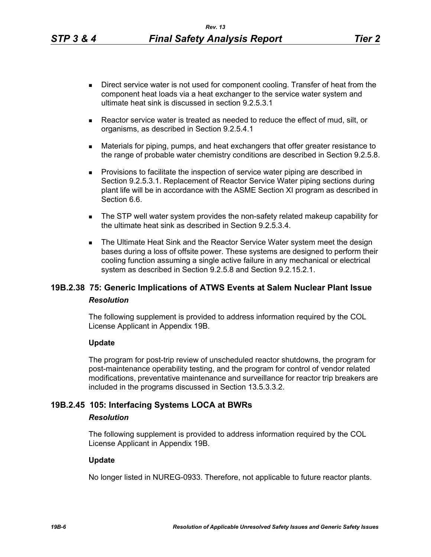- Direct service water is not used for component cooling. Transfer of heat from the component heat loads via a heat exchanger to the service water system and ultimate heat sink is discussed in section 9.2.5.3.1
- Reactor service water is treated as needed to reduce the effect of mud, silt, or organisms, as described in Section 9.2.5.4.1
- Materials for piping, pumps, and heat exchangers that offer greater resistance to the range of probable water chemistry conditions are described in Section 9.2.5.8.
- **Provisions to facilitate the inspection of service water piping are described in** Section 9.2.5.3.1. Replacement of Reactor Service Water piping sections during plant life will be in accordance with the ASME Section XI program as described in Section 6.6.
- The STP well water system provides the non-safety related makeup capability for the ultimate heat sink as described in Section 9.2.5.3.4.
- **The Ultimate Heat Sink and the Reactor Service Water system meet the design** bases during a loss of offsite power. These systems are designed to perform their cooling function assuming a single active failure in any mechanical or electrical system as described in Section 9.2.5.8 and Section 9.2.15.2.1.

# **19B.2.38 75: Generic Implications of ATWS Events at Salem Nuclear Plant Issue** *Resolution*

The following supplement is provided to address information required by the COL License Applicant in Appendix 19B.

### **Update**

The program for post-trip review of unscheduled reactor shutdowns, the program for post-maintenance operability testing, and the program for control of vendor related modifications, preventative maintenance and surveillance for reactor trip breakers are included in the programs discussed in Section 13.5.3.3.2.

# **19B.2.45 105: Interfacing Systems LOCA at BWRs**

### *Resolution*

The following supplement is provided to address information required by the COL License Applicant in Appendix 19B.

### **Update**

No longer listed in NUREG-0933. Therefore, not applicable to future reactor plants.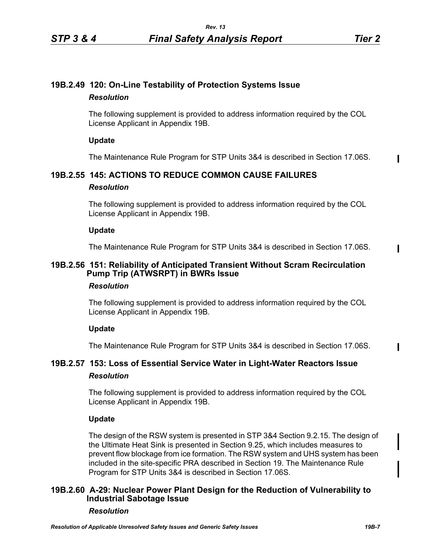# **19B.2.49 120: On-Line Testability of Protection Systems Issue** *Resolution*

The following supplement is provided to address information required by the COL License Applicant in Appendix 19B.

# **Update**

The Maintenance Rule Program for STP Units 3&4 is described in Section 17.06S.

# **19B.2.55 145: ACTIONS TO REDUCE COMMON CAUSE FAILURES**

### *Resolution*

The following supplement is provided to address information required by the COL License Applicant in Appendix 19B.

# **Update**

The Maintenance Rule Program for STP Units 3&4 is described in Section 17.06S.

# **19B.2.56 151: Reliability of Anticipated Transient Without Scram Recirculation Pump Trip (ATWSRPT) in BWRs Issue**

# *Resolution*

The following supplement is provided to address information required by the COL License Applicant in Appendix 19B.

# **Update**

The Maintenance Rule Program for STP Units 3&4 is described in Section 17.06S.

# **19B.2.57 153: Loss of Essential Service Water in Light-Water Reactors Issue** *Resolution*

The following supplement is provided to address information required by the COL License Applicant in Appendix 19B.

# **Update**

The design of the RSW system is presented in STP 3&4 Section 9.2.15. The design of the Ultimate Heat Sink is presented in Section 9.25, which includes measures to prevent flow blockage from ice formation. The RSW system and UHS system has been included in the site-specific PRA described in Section 19. The Maintenance Rule Program for STP Units 3&4 is described in Section 17.06S.

# **19B.2.60 A-29: Nuclear Power Plant Design for the Reduction of Vulnerability to Industrial Sabotage Issue**

# *Resolution*